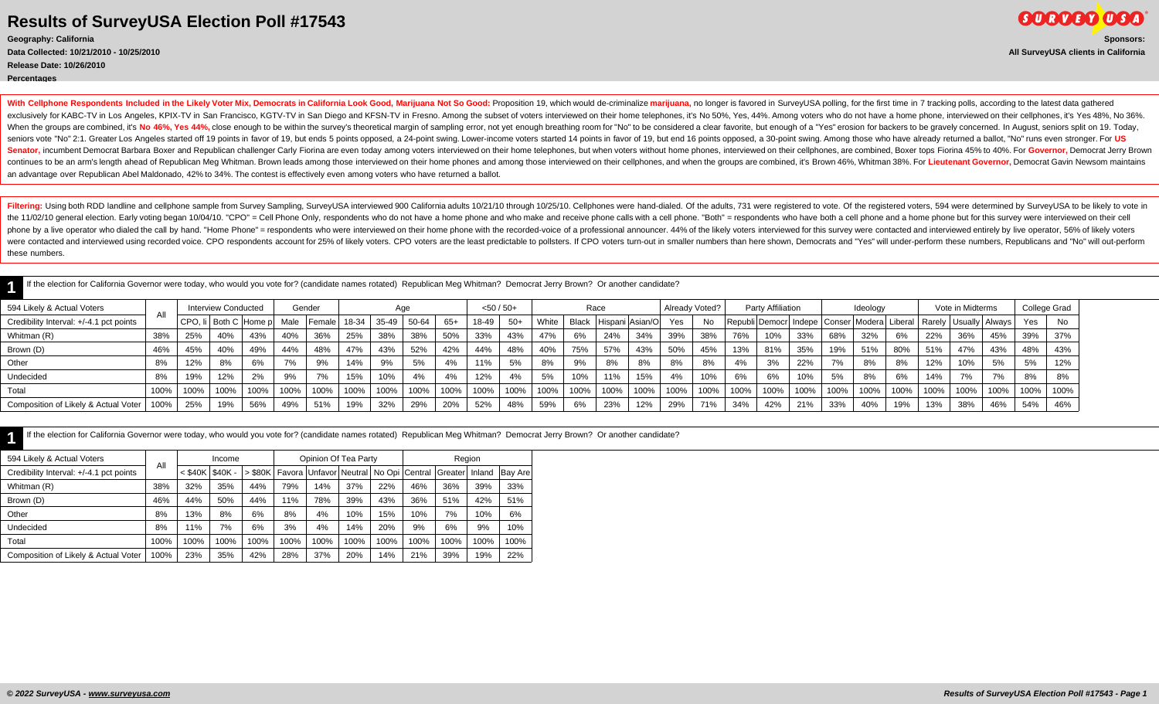**Release Date: 10/26/2010**

**Percentages**

**SURVEY USA Geography: California Sponsors: Data Collected: 10/21/2010 - 10/25/2010 All SurveyUSA clients in California**

With Cellphone Respondents Included in the Likely Voter Mix, Democrats in California Look Good, Marijuana Not So Good: Proposition 19, which would de-criminalize marijuana, no longer is favored in SurveyUSA polling, for th exclusively for KABC-TV in Los Angeles, KPIX-TV in San Francisco, KGTV-TV in San Diego and KFSN-TV in Fresno. Among the subset of voters interviewed on their home telephones, it's No 50%, Yes, 44%. Among voters who do not When the groups are combined, it's No 46%, Yes 44%, close enough to be within the survey's theoretical margin of sampling error, not yet enough breathing room for "No" to be considered a clear favorite, but enough of a "Ye seniors vote "No" 2:1. Greater Los Angeles started off 19 points in favor of 19, but ends 5 points opposed, a 24-point swing. Lower-income voters started 14 points in favor of 19, but end 16 points opposed, a 30-point swin Senator, incumbent Democrat Barbara Boxer and Republican challenger Carly Fiorina are even today among voters interviewed on their home telephones, but when voters without home phones, interviewed on their cellphones, are continues to be an arm's length ahead of Republican Meg Whitman. Brown leads among those interviewed on their home phones and among those interviewed on their cellphones, and when the groups are combined, it's Brown 46%, W an advantage over Republican Abel Maldonado, 42% to 34%. The contest is effectively even among voters who have returned a ballot.

Filtering: Using both RDD landline and cellphone sample from Survey Sampling, SurveyUSA interviewed 900 California adults 10/21/10 through 10/25/10. Cellphones were hand-dialed. Of the adults, 731 were registered to vote. the 11/02/10 general election. Early voting began 10/04/10. "CPO" = Cell Phone Only, respondents who do not have a home phone and who make and receive phone calls with a cell phone. "Both" = respondents who have both a cel phone by a live operator who dialed the call by hand. "Home Phone" = respondents who were interviewed on their home phone with the recorded-voice of a professional announcer. 44% of the likely voters interviewed for this s were contacted and interviewed using recorded voice. CPO respondents account for 25% of likely voters. CPO voters are the least predictable to pollsters. If CPO voters turn-out in smaller numbers than here shown, Democrats these numbers.

If the election for California Governor were today, who would you vote for? (candidate names rotated) Republican Meg Whitman? Democrat Jerry Brown? Or another candidate?

| If the election for California Governor were today, who would you vote for? (candidate names rotated) Republican Meg Whitman? Democrat Jerry Brown? Or another candidate? |      |      |                            |                           |      |               |       |       |       |       |              |       |       |      |      |                       |      |                |                                                                                 |                   |      |      |          |      |      |                  |      |              |           |
|---------------------------------------------------------------------------------------------------------------------------------------------------------------------------|------|------|----------------------------|---------------------------|------|---------------|-------|-------|-------|-------|--------------|-------|-------|------|------|-----------------------|------|----------------|---------------------------------------------------------------------------------|-------------------|------|------|----------|------|------|------------------|------|--------------|-----------|
| 594 Likely & Actual Voters                                                                                                                                                |      |      | <b>Interview Conducted</b> |                           |      | Gender        |       | Aae   |       |       | $<$ 50 / 50+ |       |       | Race |      |                       |      | Already Voted? |                                                                                 | Party Affiliation |      |      | Ideology |      |      | Vote in Midterms |      | College Grad |           |
| Credibility Interval: +/-4.1 pct points                                                                                                                                   |      |      |                            | CPO, li   Both C   Home p |      | Male   Female | 18-34 | 35-49 | 50-64 | $65+$ | 18-49        | $50+$ | White |      |      | Black Hispani Asian/O | Yes  | <b>No</b>      | Republi Democr   Indepe   Conser   Modera   Liberal   Rarely   Usually   Always |                   |      |      |          |      |      |                  |      | Yes          | <b>No</b> |
| Whitman (R)                                                                                                                                                               | 38%  | 25%  | 40%                        | 43%                       | 40%  | 36%           | 25%   | 38%   | 38%   | 50%   | 33%          | 43%   | 47%   | 6%   | 24%  | 34%                   | 39%  | 38%            | 76%                                                                             | 10%               | 33%  | 68%  | 32%      | 6%   | 22%  | 36%              | 45%  | 39%          | 37%       |
| Brown (D)                                                                                                                                                                 | 46%  | 45%  | 40%                        | 49%                       | 44%  | 48%           | 47%   | 43%   | 52%   | 42%   | 44%          | 48%   | 40%   | 75%  | 57%  | 43%                   | 50%  | 45%            | 13%                                                                             | 81%               | 35%  | 19%  | 51%      | 80%  | 51%  | 47%              | 43%  | 48%          | 43%       |
| Other                                                                                                                                                                     | 8%   | 12%  | 8%                         | 6%                        | 7%   | 9%            | 14%   | 9%    | 5%    | 4%    | 11%          | 5%    | 8%    | 9%   | 8%   | 8%                    | 8%   | 8%             | 4%                                                                              | 3%                | 22%  | 7%   | 8%       | 8%   | 12%  | 10%              | 5%   | 5%           | 12%       |
| Undecided                                                                                                                                                                 | 8%   | 19%  | 12%                        | 2%                        | 9%   | 7%            | 15%   | 10%   | 4%    | 4%    | 12%          | 4%    | 5%    | 10%  | 11%  | 15%                   | 4%   | 10%            | 6%                                                                              | 6%                | 10%  | 5%   | 8%       | 6%   | 14%  | 7%               | 70/  | 8%           | 8%        |
| Total                                                                                                                                                                     | 100% | 100% | 100%                       | 100%                      | 100% | 100%          | 100%  | 100%  | 100%  | 100%  | 100%         | 100%  | 100%  | 100% | 100% | 100%                  | 100% | 100%           | 100%                                                                            | 100%              | 100% | 100% | 100%     | 100% | 100% | 100%             | 100% | 100%         | 100%      |
| Composition of Likely & Actual Voter                                                                                                                                      | 100% | 25%  | 19%                        | 56%                       | 49%  | 51%           | 19%   | 32%   | 29%   | 20%   | 52%          | 48%   | 59%   | 6%   | 23%  | 12%                   | 29%  | 71%            | 34%                                                                             | 42%               | 21%  | 33%  | 40%      | 19%  | 13%  | 38%              | 46%  | 54%          | 46%       |

|  | If the election for California Governor were today, who would you vote for? (candidate names rotated) Republican Meg Whitman? Democrat Jerry Brown? Or another candidate? |  |  |
|--|---------------------------------------------------------------------------------------------------------------------------------------------------------------------------|--|--|
|  |                                                                                                                                                                           |  |  |

| 594 Likely & Actual Voters              | All  |                     | Income |      |      | Opinion Of Tea Party |      |      |      | Region                                                            |        |                |
|-----------------------------------------|------|---------------------|--------|------|------|----------------------|------|------|------|-------------------------------------------------------------------|--------|----------------|
| Credibility Interval: +/-4.1 pct points |      | $<$ \$40K   \$40K - |        |      |      |                      |      |      |      | > \$80K   Favora   Unfavor   Neutral   No Opi   Central   Greater | Inland | <b>Bay Are</b> |
| Whitman (R)                             | 38%  | 32%                 | 35%    | 44%  | 79%  | 14%                  | 37%  | 22%  | 46%  | 36%                                                               | 39%    | 33%            |
| Brown (D)                               | 46%  | 44%                 | 50%    | 44%  | 11%  | 78%                  | 39%  | 43%  | 36%  | 51%                                                               | 42%    | 51%            |
| Other                                   | 8%   | 13%                 | 8%     | 6%   | 8%   | 4%                   | 10%  | 15%  | 10%  | 7%                                                                | 10%    | 6%             |
| Undecided                               | 8%   | 11%                 | 7%     | 6%   | 3%   | 4%                   | 14%  | 20%  | 9%   | 6%                                                                | 9%     | 10%            |
| Total                                   | 100% | 100%                | 100%   | 100% | 100% | 100%                 | 100% | 100% | 100% | 100%                                                              | 100%   | 100%           |
| Composition of Likely & Actual Voter    | 100% | 23%                 | 35%    | 42%  | 28%  | 37%                  | 20%  | 14%  | 21%  | 39%                                                               | 19%    | 22%            |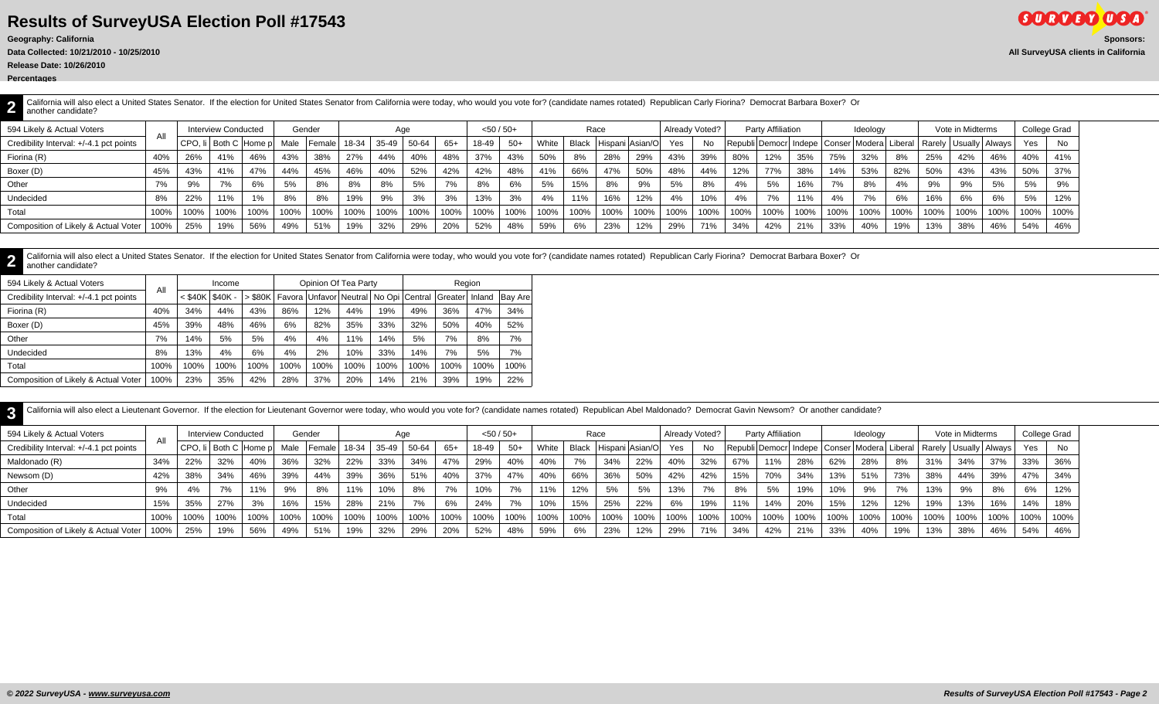**Data Collected: 10/21/2010 - 10/25/2010 All SurveyUSA clients in California**

California will also elect a United States Senator. If the election for United States Senator from California were today, who would you vote for? (candidate names rotated) Republican Carly Fiorina? Democrat Barbara Boxer? another candidate?

| 594 Likely & Actual Voters              |      |      | Interview Conducted      |      |      | Gender  |       | Aqe   |         |      | $<$ 50 / 50+ |       |       |       | Race                |      | Already Voted? |      |                                                    | Party Affiliation |      |      | Ideology |      |      | Vote in Midterms          |      |         | College Grad |
|-----------------------------------------|------|------|--------------------------|------|------|---------|-------|-------|---------|------|--------------|-------|-------|-------|---------------------|------|----------------|------|----------------------------------------------------|-------------------|------|------|----------|------|------|---------------------------|------|---------|--------------|
| Credibility Interval: +/-4.1 pct points |      |      | CPO. Ii I Both C Home pl |      | Male | ∣Female | 18-34 | 35-49 | 50-64   | 65+  | 18-49        | $50+$ | White | Black | Hispani Asian/O Yes |      |                | No.  | Republi Democr  Indepe   Conser   Modera   Liberal |                   |      |      |          |      |      | Rarely   Usually   Always |      | Yes     | No           |
| Fiorina (R)                             | 40%  | 26%  | 41%                      | 46%  | 43%  | 38%     | 27%   | 44%   | 40%     | 48%  | 37%          | 43%   | 50%   | 8%    | 28%                 | 29%  | 43%            | 39%  | 80%                                                | 12%               | 35%  | 75%  | 32%      | 8%   | 25%  | 42%                       | 46%  | 40%     | 41%          |
| Boxer (D)                               | 45%  | 43%  | 41%                      |      | 44%  | 45%     | 46%   | 40%   | 52%     | 42%  | 42%          | 48%   | 41%   | 66%   | 47%                 | 50%  | 48%            | 44%  | 12%                                                | 77%               | 38%  | 14%  | 53%      | 82%  | 50%  | 43%                       | 43%  | 50%     | 37%          |
| Other                                   |      | 9%   | 7%                       | 6%   | 5%   | 8%      | 8%    | 8%    |         | 7%   | 8%           | 6%    | 5%    | 15%   | 8%                  | 9%   | 5%             | 8%   | 4%                                                 | 5%                | 16%  | 7%   | 8%       | 4%   | 9%   | 9%                        | 5%   | 5%      | 9%           |
| Undecided                               | 8%   | 22%  | 11%                      |      | 8%   | 8%      | 19%   | 9%    | 3%      | 3%   | 13%          | 3%    | 4%    | 11%   | 16%                 | 12%  | 4%             | 10%  | 4%                                                 | 7%                | 11%  |      | 7%       | 6%   | 16%  | 6%                        | 6%   | 5%      | 12%          |
| Total                                   | 100% | 100% | 100%                     | 100% | 100% | 100%    | 100%  | 100%  | $100\%$ | 100% | 100%         | 100%  | 100%  | 100%  | 100%                | 100% | 100%           | 100% | 100%                                               | 100%              | 100% | 100% | 100%     | 100% | 100% | 100%                      | 100% | $100\%$ | 100%         |
| Composition of Likely & Actual Voter    | 100% | 25%  | 19%                      | 56%  | 49%  | 51%     | 19%   | 32%   | 29%     | 20%  | 52%          | 48%   | 59%   | 6%    | 23%                 | 12%  | 29%            | 71%  | 34%                                                | 42%               | 21%  | 33%  | 40%      | 19%  | 13%  | 38%                       | 46%  | 54%     | 46%          |

**2** California will also elect a United States Senator. If the election for United States Senator from California were today, who would you vote for? (candidate names rotated) Republican Carly Fiorina? Democrat Barbara Boxer? another candidate?

| 594 Likely & Actual Voters              | All  |           | Income        |           |      | Opinion Of Tea Party |      |      |      | Region                                                       |      |         |
|-----------------------------------------|------|-----------|---------------|-----------|------|----------------------|------|------|------|--------------------------------------------------------------|------|---------|
| Credibility Interval: +/-4.1 pct points |      | $<$ \$40K | <b>S40K -</b> | $>$ \$80K |      |                      |      |      |      | Favora Unfavor Neutral   No Opi   Central   Greater   Inland |      | Bay Are |
| Fiorina (R)                             | 40%  | 34%       | 44%           | 43%       | 86%  | 12%                  | 44%  | 19%  | 49%  | 36%                                                          | 47%  | 34%     |
| Boxer (D)                               | 45%  | 39%       | 48%           | 46%       | 6%   | 82%                  | 35%  | 33%  | 32%  | 50%                                                          | 40%  | 52%     |
| Other                                   | 7%   | 14%       | 5%            | 5%        | 4%   | 4%                   | 11%  | 14%  | 5%   | 7%                                                           | 8%   | 7%      |
| Undecided                               | 8%   | 13%       | 4%            | 6%        | 4%   | 2%                   | 10%  | 33%  | 14%  | 7%                                                           | 5%   | 7%      |
| Total                                   | 100% | 100%      | 100%          | 100%      | 100% | 100%                 | 100% | 100% | 100% | 100%                                                         | 100% | 100%    |
| Composition of Likely & Actual Voter    | 100% | 23%       | 35%           | 42%       | 28%  | 37%                  | 20%  | 14%  | 21%  | 39%                                                          | 19%  | 22%     |

**3** California will also elect a Lieutenant Governor. If the election for Lieutenant Governor were today, who would you vote for? (candidate names rotated) Republican Abel Maldonado? Democrat Gavin Newsom? Or another candidate

| 594 Likely & Actual Voters              |      |      | <b>Interview Conducted</b> |                       |      | Gender |       |       | Aqe   |       | $<$ 50 / 50+ |       |       |      | Race                  |      | Already Voted? |      |      | Party Affiliation |                  |      | Ideology |      |      | Vote in Midterms |                                                                                 | College Grad |      |
|-----------------------------------------|------|------|----------------------------|-----------------------|------|--------|-------|-------|-------|-------|--------------|-------|-------|------|-----------------------|------|----------------|------|------|-------------------|------------------|------|----------|------|------|------------------|---------------------------------------------------------------------------------|--------------|------|
| Credibility Interval: +/-4.1 pct points |      |      |                            | CPO, li Both C Home p | Male | Female | 18-34 | 35-49 | 50-64 | $65+$ | 18-49        | $50+$ | White |      | Black Hispani Asian/O |      | Yes            | No.  |      |                   |                  |      |          |      |      |                  | Republi Democr   Indepe   Conser   Modera   Liberal   Rarely   Usually   Always | Yes          | No   |
| Maldonado (R)                           | 34%  | 22%  | 32%                        | 40%                   | 36%  | 32%    | 22%   | 33%   | 34%   | 47%   | 29%          | 40%   | 40%   | 7%   | 34%                   | 22%  | 40%            | 32%  | 67%  | 11%               | 28%              | 62%  | 28%      | 8%   | 31%  | 34%              | 37%                                                                             | 33%          | 36%  |
| Newsom (D)                              | 42%  | 38%  | 34%                        | 46%                   | 39%  | 44%    | 39%   | 36%   | 51%   | 40%   | 37%          | 47%   | 40%   | 66%  | 36%                   | 50%  | 42%            | 42%  | 15%  | 70%               | 34%              | 13%  | 51%      | 73%  | 38%  | 44%              | 39%                                                                             | 47%          | 34%  |
| Other                                   | 9%   | 4%   | 7%                         | 11%                   | 9%   | 8%     | 11%   | 10%   | 8%    | 7%    | 10%          | 7%    | 11%   | 12%  | 5%                    | 5%   | 13%            | 7%   | 8%   | 5%                | 19%              | 10%  | 9%       | 7%   | 13%  | 9%               |                                                                                 | 6%           | 12%  |
| Undecided                               | 15%  | 35%  | 27%                        | 3%                    | 16%  | 15%    | 28%   | 21%   | 7%    | 6%    | 24%          | 7%    | 10%   | 15%  | 25%                   | 22%  | 6%             | 19%  | 11%  | 14%               | 20%              | 15%  | 12%      | 12%  | 19%  | 13%              | 16%                                                                             | 14%          | 18%  |
| Total                                   | 100% | 100% | 100%                       | 100%                  | 100% | 100%   | 100%  | 100%  | 100%  | 100%  | 100%         | 100%  | 100%  | 100% | 100%                  | 100% | 100%           | 100% | 100% | 100%              | $^{\prime}$ 100% | 100% | 100%     | 100% | 100% | $100\%$          | 100%                                                                            | 100%         | 100% |
| Composition of Likely & Actual Voter    | 100% | 25%  | 19%                        | 56%                   | 49%  | 51%    | 19%   | 32%   | 29%   | 20%   | 52%          | 48%   | 59%   | 6%   | 23%                   | 12%  | 29%            | 71%  | 34%  | 42%               | 21%              | 33%  | 40%      | 19%  | 13%  | 38%              | 46%                                                                             | 54%          | 46%  |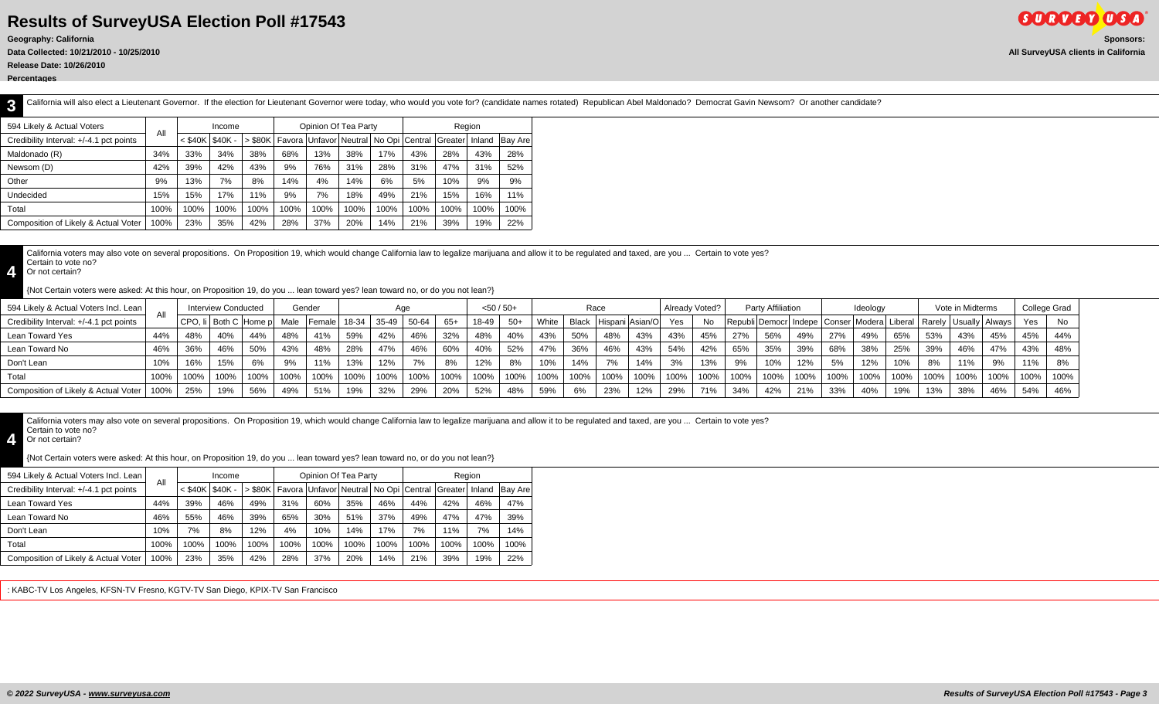**Data Collected: 10/21/2010 - 10/25/2010 All SurveyUSA clients in California**

**Release Date: 10/26/2010**

**Percentages**

**3** California will also elect a Lieutenant Governor. If the election for Lieutenant Governor were today, who would you vote for? (candidate names rotated) Republican Abel Maldonado? Democrat Gavin Newsom? Or another candidate

| 594 Likely & Actual Voters              | All  |           | Income   |           |             | Opinion Of Tea Party |      |                |      | Region           |      |                |
|-----------------------------------------|------|-----------|----------|-----------|-------------|----------------------|------|----------------|------|------------------|------|----------------|
| Credibility Interval: +/-4.1 pct points |      | $<$ \$40K | $$40K -$ | $>$ \$80K | I Favora l' | Unfavorl Neutral     |      | No Opi Central |      | Greater   Inland |      | <b>Bay Are</b> |
| Maldonado (R)                           | 34%  | 33%       | 34%      | 38%       | 68%         | 13%                  | 38%  | 17%            | 43%  | 28%              | 43%  | 28%            |
| Newsom (D)                              | 42%  | 39%       | 42%      | 43%       | 9%          | 76%                  | 31%  | 28%            | 31%  | 47%              | 31%  | 52%            |
| Other                                   | 9%   | 13%       | 7%       | 8%        | 14%         | 4%                   | 14%  | 6%             | 5%   | 10%              | 9%   | 9%             |
| Undecided                               | 15%  | 15%       | 17%      | 11%       | 9%          | 7%                   | 18%  | 49%            | 21%  | 15%              | 16%  | 11%            |
| Total                                   | 100% | 100%      | 100%     | 100%      | 100%        | 100%                 | 100% | 100%           | 100% | 100%             | 100% | 100%           |
| Composition of Likely & Actual Voter    | 100% | 23%       | 35%      | 42%       | 28%         | 37%                  | 20%  | 14%            | 21%  | 39%              | 19%  | 22%            |

California voters may also vote on several propositions. On Proposition 19, which would change California law to legalize marijuana and allow it to be regulated and taxed, are you ... Certain to vote yes? Certain to vote no?

**4** Or not certain?

{Not Certain voters were asked: At this hour, on Proposition 19, do you ... lean toward yes? lean toward no, or do you not lean?}

| 594 Likely & Actual Voters Incl. Lean   | All  |     | <b>Interview Conducted</b> |                           |      | Gender       |      |       |              |       | $<$ 50 / 50+ |       |       |       | Race                 |      | Already Voted? |      |      | Party Affiliation |      |      | Ideology |      |      | Vote in Midterms |                                                                                 | College Grad |           |
|-----------------------------------------|------|-----|----------------------------|---------------------------|------|--------------|------|-------|--------------|-------|--------------|-------|-------|-------|----------------------|------|----------------|------|------|-------------------|------|------|----------|------|------|------------------|---------------------------------------------------------------------------------|--------------|-----------|
| Credibility Interval: +/-4.1 pct points |      |     |                            | CPO, li   Both C   Home p | Male | Female 18-34 |      | 35-49 | 50-64        | $65+$ | 18-49        | $50+$ | White | Black | Hispani Asian/O      |      | Yes            | No   |      |                   |      |      |          |      |      |                  | Republi Democr   Indepe   Conser   Modera   Liberal   Rarely   Usually   Always | Yes          | <b>No</b> |
| Lean Toward Yes                         | 44%  | 48% | 40%                        | 44%                       | 48%  | 41%          | 59%  |       | 46%          | 32%   | 48%          | 40%   | 43%   | 50%   | 48%                  | 43%  | 43%            | 45%  | 27%  | 56%               | 49%  | 27%  | 49%      | 65%  | 53%  | 43%              | 45%                                                                             | 45%          | 44%       |
| Lean Toward No                          | 46%  | 36% | 46%                        | 50%                       | 43%  | 48%          | 28%  | 47%   | 46%          | 60%   | 40%          | 52%   | 47%   | 36%   | 46%                  | 43%  | 54%            | 42%  | 65%  | 35%               | 39%  | 68%  | 38%      | 25%  | 39%  | 46%              | 47%                                                                             | 43%          | 48%       |
| Don't Lean                              | 10%  | 16% | 15%                        | 6%                        | 9%   | 11%          | 13%  | 12%   | 7%           | 8%    | 12%          | 8%    | 10%   | 14%   | 70/<br>$\frac{9}{6}$ | 14%  | 3%             | 13%  |      | 10%               | 12%  | 5%   | 12%      | 10%  | 8%   | 11%              | 9%                                                                              | 11%          | 8%        |
| Total                                   | 100% |     | 100%                       | 100%                      | 100% | 100%         | 100% | 100%  | 100%         | 100%  | 100%         | 100%  | 100%  | 100%  | 100%                 | 100% | 100%           | 100% | 100% | 100%              | 100% | 100% | 100%     | 100% | 100% | 100%             | 100%                                                                            | 100%         | 100%      |
| Composition of Likely & Actual Voter    |      |     | 9%                         | 56%                       | 49%  | 51%          | 19%  |       | 0.001<br>29% | 20%   | 52%          | 48%   | 59%   | 6%    | 23%                  | 12%  | 29%            | 71%  | 34%  |                   | 21%  | 33%  | 40%      | 19%  | 13%  | 38%              | 46%                                                                             | 54%          | 46%       |

California voters may also vote on several propositions. On Proposition 19, which would change California law to legalize marijuana and allow it to be regulated and taxed, are you ... Certain to vote yes? Certain to vote no?

**4** Or not certain?

{Not Certain voters were asked: At this hour, on Proposition 19, do you ... lean toward yes? lean toward no, or do you not lean?}

| 594 Likely & Actual Voters Incl. Lean   | All  |                     | Income |      |      | Opinion Of Tea Party                                 |      |      |      | Region                |      |                |
|-----------------------------------------|------|---------------------|--------|------|------|------------------------------------------------------|------|------|------|-----------------------|------|----------------|
| Credibility Interval: +/-4.1 pct points |      | $<$ \$40K   \$40K - |        |      |      | S80K   Favora   Unfavor   Neutral   No Opi   Central |      |      |      | <b>Greater</b> Inland |      | <b>Bay Are</b> |
| Lean Toward Yes                         | 44%  | 39%                 | 46%    | 49%  | 31%  | 60%                                                  | 35%  | 46%  | 44%  | 42%                   | 46%  | 47%            |
| Lean Toward No                          | 46%  | 55%                 | 46%    | 39%  | 65%  | 30%                                                  | 51%  | 37%  | 49%  | 47%                   | 47%  | 39%            |
| Don't Lean                              | 10%  | 7%                  | 8%     | 12%  | 4%   | 10%                                                  | 14%  | 17%  | 7%   | 11%                   | 7%   | 14%            |
| Total                                   | 100% | 100%                | 100%   | 100% | 100% | 100%                                                 | 100% | 100% | 100% | 100%                  | 100% | 100%           |
| Composition of Likely & Actual Voter    | 100% | 23%                 | 35%    | 42%  | 28%  | 37%                                                  | 20%  | 14%  | 21%  | 39%                   | 19%  | 22%            |

: KABC-TV Los Angeles, KFSN-TV Fresno, KGTV-TV San Diego, KPIX-TV San Francisco